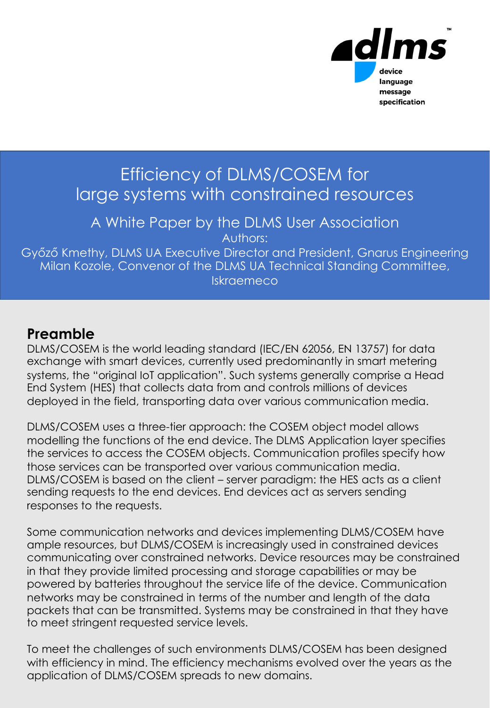

### Efficiency of DLMS/COSEM for large systems with constrained resources

A White Paper by the DLMS User Association Authors:

Győző Kmethy, DLMS UA Executive Director and President, Gnarus Engineering Milan Kozole, Convenor of the DLMS UA Technical Standing Committee, Iskraemeco

#### **Preamble**

DLMS/COSEM is the world leading standard (IEC/EN 62056, EN 13757) for data exchange with smart devices, currently used predominantly in smart metering systems, the "original IoT application". Such systems generally comprise a Head End System (HES) that collects data from and controls millions of devices deployed in the field, transporting data over various communication media.

DLMS/COSEM uses a three-tier approach: the COSEM object model allows modelling the functions of the end device. The DLMS Application layer specifies the services to access the COSEM objects. Communication profiles specify how those services can be transported over various communication media. DLMS/COSEM is based on the client – server paradigm: the HES acts as a client sending requests to the end devices. End devices act as servers sending responses to the requests.

Some communication networks and devices implementing DLMS/COSEM have ample resources, but DLMS/COSEM is increasingly used in constrained devices communicating over constrained networks. Device resources may be constrained in that they provide limited processing and storage capabilities or may be powered by batteries throughout the service life of the device. Communication networks may be constrained in terms of the number and length of the data packets that can be transmitted. Systems may be constrained in that they have to meet stringent requested service levels.

To meet the challenges of such environments DLMS/COSEM has been designed with efficiency in mind. The efficiency mechanisms evolved over the years as the application of DLMS/COSEM spreads to new domains.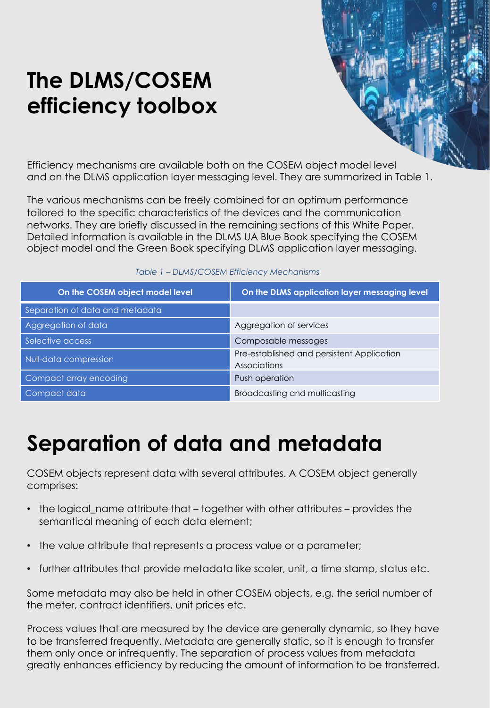### **The DLMS/COSEM efficiency toolbox**

Efficiency mechanisms are available both on the COSEM object model level and on the DLMS application layer messaging level. They are summarized in Table 1.

The various mechanisms can be freely combined for an optimum performance tailored to the specific characteristics of the devices and the communication networks. They are briefly discussed in the remaining sections of this White Paper. Detailed information is available in the DLMS UA Blue Book specifying the COSEM object model and the Green Book specifying DLMS application layer messaging.

| On the COSEM object model level | On the DLMS application layer messaging level              |
|---------------------------------|------------------------------------------------------------|
| Separation of data and metadata |                                                            |
| Aggregation of data             | Aggregation of services                                    |
| Selective access                | Composable messages                                        |
| Null-data compression           | Pre-established and persistent Application<br>Associations |
| Compact array encoding          | Push operation                                             |
| Compact data                    | Broadcasting and multicasting                              |

#### *Table 1 – DLMS/COSEM Efficiency Mechanisms*

#### **Compact array encoding** Push operation **Separation of data and metadata**

COSEM objects represent data with several attributes. A COSEM object generally comprises:

- the logical name attribute that together with other attributes provides the semantical meaning of each data element;
- the value attribute that represents a process value or a parameter;
- further attributes that provide metadata like scaler, unit, a time stamp, status etc.

Some metadata may also be held in other COSEM objects, e.g. the serial number of the meter, contract identifiers, unit prices etc.

Process values that are measured by the device are generally dynamic, so they have to be transferred frequently. Metadata are generally static, so it is enough to transfer them only once or infrequently. The separation of process values from metadata greatly enhances efficiency by reducing the amount of information to be transferred.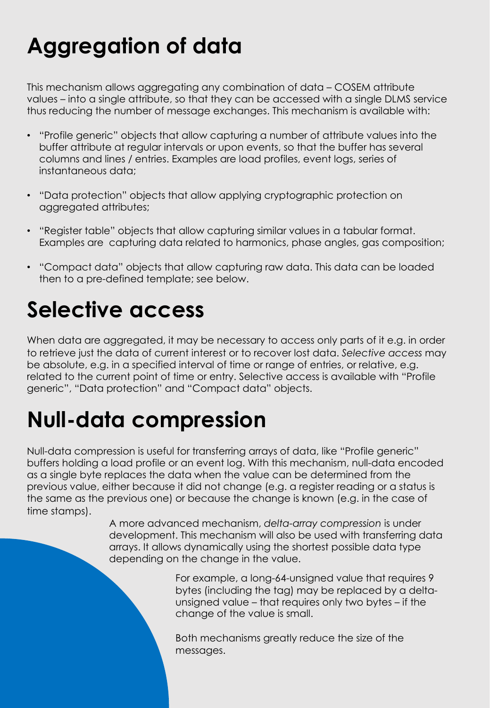# **Aggregation of data**

This mechanism allows aggregating any combination of data – COSEM attribute values – into a single attribute, so that they can be accessed with a single DLMS service thus reducing the number of message exchanges. This mechanism is available with:

- "Profile generic" objects that allow capturing a number of attribute values into the buffer attribute at regular intervals or upon events, so that the buffer has several columns and lines / entries. Examples are load profiles, event logs, series of instantaneous data;
- "Data protection" objects that allow applying cryptographic protection on aggregated attributes;
- "Register table" objects that allow capturing similar values in a tabular format. Examples are capturing data related to harmonics, phase angles, gas composition;
- "Compact data" objects that allow capturing raw data. This data can be loaded then to a pre-defined template; see below.

## **Selective access**

**On the COSEM objet model level On the DLMS application layer messaging level** related to the current point of time or entry. Selective access is available with "Profile generic", "Data protection" and <mark>"Compact data" objects.</mark> When data are aggregated, it may be necessary to access only parts of it e.g. in order to retrieve just the data of current interest or to recover lost data. *Selective access* may be absolute, e.g. in a specified interval of time or range of entries, or relative, e.g.

#### **Selective access** Composable messages **Null-data compression** Pre-established and persistent Application Associations **Null-data compression**

Null-data compression is useful for transferring arrays of data, like "Profile generic" buffers holding a load profile or an event log. With this mechanism, null-data encoded as a single byte replaces the data when the value can be determined from the previous value, either because it did not change (e.g. a register reading or a status is the same as the previous one) or because the change is known (e.g. in the case of time stamps).

> A more advanced mechanism, *delta-array compression* is under development. This mechanism will also be used with transferring data arrays. It allows dynamically using the shortest possible data type depending on the change in the value.

> > For example, a long-64-unsigned value that requires 9 bytes (including the tag) may be replaced by a deltaunsigned value – that requires only two bytes – if the change of the value is small.

Both mechanisms greatly reduce the size of the messages.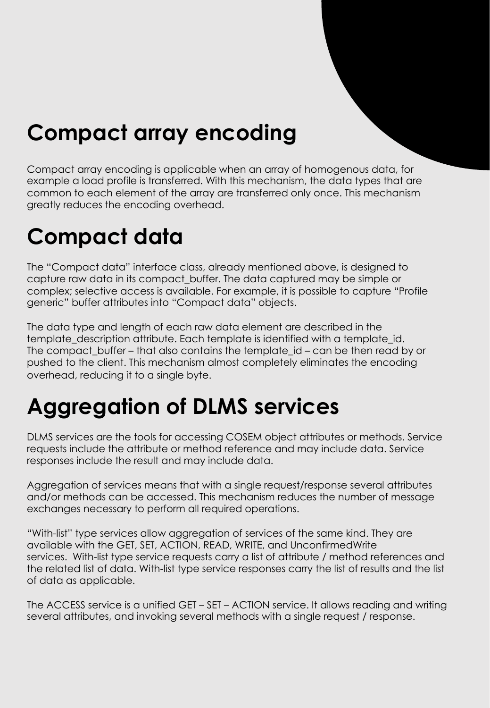### **Compact array encoding**

Compact array encoding is applicable when an array of homogenous data, for example a load profile is transferred. With this mechanism, the data types that are common to each element of the array are transferred only once. This mechanism greatly reduces the encoding overhead.

# **Compact data**

The "Compact data" interface class, already mentioned above, is designed to capture raw data in its compact\_buffer. The data captured may be simple or complex; selective access is available. For example, it is possible to capture "Profile generic" buffer attributes into "Compact data" objects.

**On the COSEM objet model in the COSEM object.** The DLMS application layer messaging level in the DLMS application layer messaging level in the DLMS application in the DLMS application in the DLMS application in the DLMS a The data type and length of each raw data element are described in the template description attribute. Each template is identified with a template id. The compact buffer – that also contains the template id – can be then read by or pushed to the client. This mechanism almost completely eliminates the encoding overhead, reducing it to a single byte.

#### **Aggregation of data** Aggregation of services **Aggregation of DLMS services**

DLMS services are the tools for accessing COSEM object attributes or methods. Service requests include the attribute or method reference and may include data. Service responses include the result and may include data.

Aggregation of services means that with a single request/response several attributes and/or methods can be accessed. This mechanism reduces the number of message exchanges necessary to perform all required operations.

"With-list" type services allow aggregation of services of the same kind. They are available with the GET, SET, ACTION, READ, WRITE, and UnconfirmedWrite services. With-list type service requests carry a list of attribute / method references and the related list of data. With-list type service responses carry the list of results and the list of data as applicable.

The ACCESS service is a unified GET – SET – ACTION service. It allows reading and writing several attributes, and invoking several methods with a single request / response.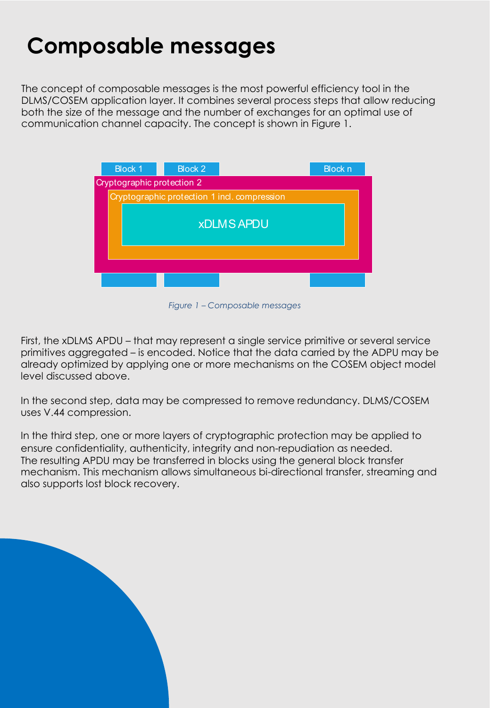### **Composable messages**

The concept of composable messages is the most powerful efficiency tool in the DLMS/COSEM application layer. It combines several process steps that allow reducing both the size of the message and the number of exchanges for an optimal use of communication channel capacity. The concept is shown in Figure 1.



*Figure 1 – Composable messages*

**On the COSEM objet model level On the DLMS application layer messaging level** First, the xDLMS APDU – that may represent a single service primitive or several service primitives aggregated – is encoded. Notice that the data carried by the ADPU may be already optimized by applying one or more mechanisms on the COSEM object model level discussed above.

**Separation of data and metadata** In the second step, data may be compressed to remove redundancy. DLMS/COSEM uses V.44 compression. **Selective accession** with the messages of the messages of the messages of the messages of

In the third step, one or more layers of cryptographic protection may be applied to ensure confidentiality, authenticity, integrity and non-repudiation as needed. The resulting APDU may be transferred in blocks using the general block transfer mechanism. This mechanism allows simultaneous bi-directional transfer, streaming and also supports lost block recovery.

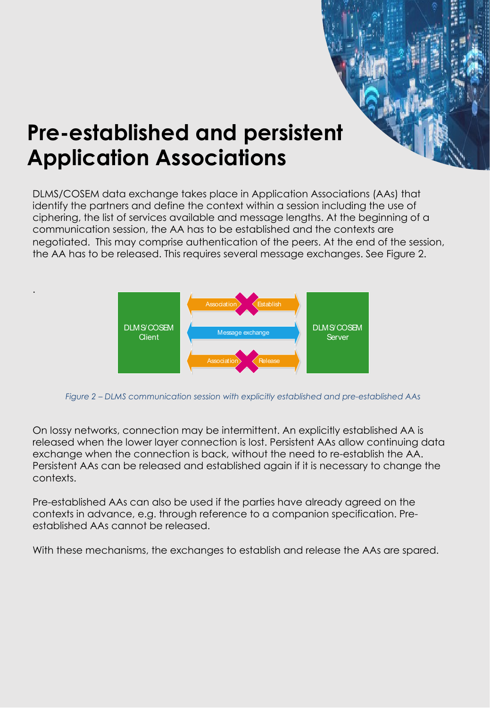### **Pre-established and persistent Application Associations**

.

DLMS/COSEM data exchange takes place in Application Associations (AAs) that identify the partners and define the context within a session including the use of ciphering, the list of services available and message lengths. At the beginning of a communication session, the AA has to be established and the contexts are negotiated. This may comprise authentication of the peers. At the end of the session, the AA has to be released. This requires several message exchanges. See Figure 2.



*Figure 2 – DLMS communication session with explicitly established and pre-established AAs*

On lossy networks, connection may be intermittent. An explicitly established AA is released when the lower layer connection is lost. Persistent AAs allow continuing data exchange when the connection is back, without the need to re-establish the AA. **Null-data compression** Pre-established and persistent Application Associations Persistent AAs can be released and established again if it is necessary to change the **Compact data Broadcasting and multicasting and multicasting and multicasting and multiple and multiple and multiple** contexts.

Pre-established AAs can also be used if the parties have already agreed on the contexts in advance, e.g. through reference to a companion specification. Preestablished AAs cannot be released.

With these mechanisms, the exchanges to establish and release the AAs are spared.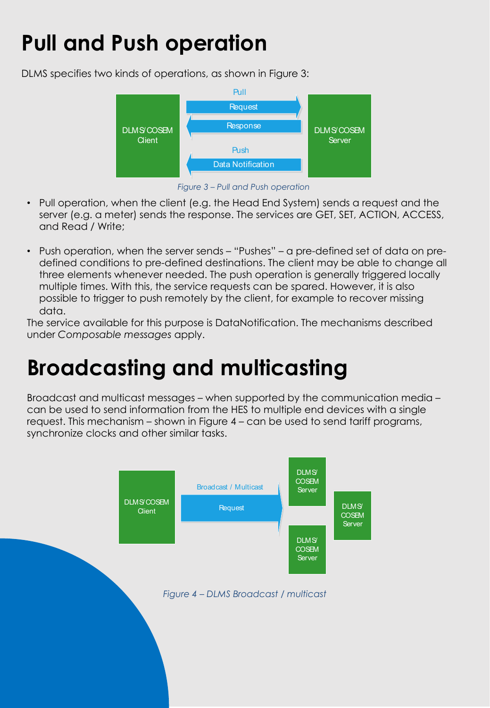# **Pull and Push operation**

DLMS specifies two kinds of operations, as shown in Figure 3:



*Figure 3 – Pull and Push operation*

- Pull operation, when the client (e.g. the Head End System) sends a request and the server (e.g. a meter) sends the response. The services are GET, SET, ACTION, ACCESS, and Read / Write;
- Push operation, when the server sends "Pushes" a pre-defined set of data on predefined conditions to pre-defined destinations. The client may be able to change all three elements whenever needed. The push operation is generally triggered locally multiple times. With this, the service requests can be spared. However, it is also possible to trigger to push remotely by the client, for example to recover missing data.

The service available for this purpose is DataNotification. The mechanisms described under *Composable messages* apply.

#### **On the COSEM objet model level On the DLMS application layer messaging level Separation of data and metadata Broadcasting and multicasting**

**Selective access** Composable messages Broadcast and multicast messages – when supported by the communication media – can be used to send information from the HES to multiple end devices with a single request. This mechanism – shown in Figure 4 – can be used to send tariff programs, synchronize clocks and other similar tasks.